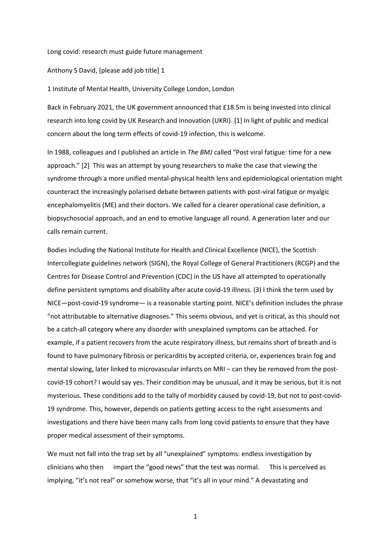Long covid: research must guide future management

Anthony S David, [please add job title] 1

1 Institute of Mental Health, University College London, London

Back in February 2021, the UK government announced that £18.5m is being invested into clinical research into long covid by UK Research and Innovation (UKRI). [1] In light of public and medical concern about the long term effects of covid-19 infection, this is welcome.

In 1988, colleagues and I published an article in *The BMJ* called "Post viral fatigue: time for a new approach." [2] This was an attempt by young researchers to make the case that viewing the syndrome through a more unified mental-physical health lens and epidemiological orientation might counteract the increasingly polarised debate between patients with post-viral fatigue or myalgic encephalomyelitis (ME) and their doctors. We called for a clearer operational case definition, a biopsychosocial approach, and an end to emotive language all round. A generation later and our calls remain current.

Bodies including the National Institute for Health and Clinical Excellence (NICE), the Scottish Intercollegiate guidelines network (SIGN), the Royal College of General Practitioners (RCGP) and the Centres for Disease Control and Prevention (CDC) in the US have all attempted to operationally define persistent symptoms and disability after acute covid-19 illness. (3) I think the term used by NICE—post-covid-19 syndrome— is a reasonable starting point. NICE's definition includes the phrase "not attributable to alternative diagnoses." This seems obvious, and yet is critical, as this should not be a catch-all category where any disorder with unexplained symptoms can be attached. For example, if a patient recovers from the acute respiratory illness, but remains short of breath and is found to have pulmonary fibrosis or pericarditis by accepted criteria, or, experiences brain fog and mental slowing, later linked to microvascular infarcts on MRI – can they be removed from the postcovid-19 cohort? I would say yes. Their condition may be unusual, and it may be serious, but it is not mysterious. These conditions add to the tally of morbidity caused by covid-19, but not to post-covid-19 syndrome. This, however, depends on patients getting access to the right assessments and investigations and there have been many calls from long covid patients to ensure that they have proper medical assessment of their symptoms.

We must not fall into the trap set by all "unexplained" symptoms: endless investigation by clinicians who then impart the "good news" that the test was normal. This is perceived as implying, "it's not real" or somehow worse, that "it's all in your mind." A devastating and

1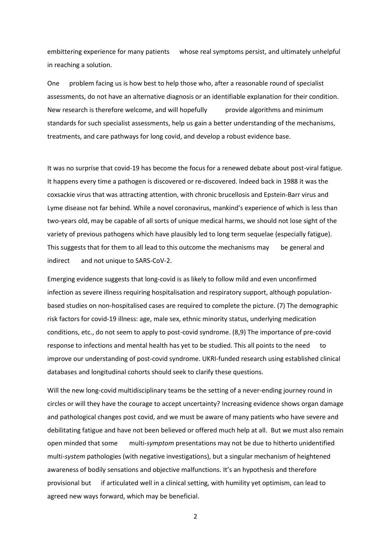embittering experience for many patients whose real symptoms persist, and ultimately unhelpful in reaching a solution.

One problem facing us is how best to help those who, after a reasonable round of specialist assessments, do not have an alternative diagnosis or an identifiable explanation for their condition. New research is therefore welcome, and will hopefully provide algorithms and minimum standards for such specialist assessments, help us gain a better understanding of the mechanisms, treatments, and care pathways for long covid, and develop a robust evidence base.

It was no surprise that covid-19 has become the focus for a renewed debate about post-viral fatigue. It happens every time a pathogen is discovered or re-discovered. Indeed back in 1988 it was the coxsackie virus that was attracting attention, with chronic brucellosis and Epstein-Barr virus and Lyme disease not far behind. While a novel coronavirus, mankind's experience of which is less than two-years old, may be capable of all sorts of unique medical harms, we should not lose sight of the variety of previous pathogens which have plausibly led to long term sequelae (especially fatigue). This suggests that for them to all lead to this outcome the mechanisms may be general and indirect and not unique to SARS-CoV-2.

Emerging evidence suggests that long-covid is as likely to follow mild and even unconfirmed infection as severe illness requiring hospitalisation and respiratory support, although populationbased studies on non-hospitalised cases are required to complete the picture. (7) The demographic risk factors for covid-19 illness: age, male sex, ethnic minority status, underlying medication conditions, etc., do not seem to apply to post-covid syndrome. (8,9) The importance of pre-covid response to infections and mental health has yet to be studied. This all points to the need to improve our understanding of post-covid syndrome. UKRI-funded research using established clinical databases and longitudinal cohorts should seek to clarify these questions.

Will the new long-covid multidisciplinary teams be the setting of a never-ending journey round in circles or will they have the courage to accept uncertainty? Increasing evidence shows organ damage and pathological changes post covid, and we must be aware of many patients who have severe and debilitating fatigue and have not been believed or offered much help at all. But we must also remain open minded that some multi-*symptom* presentations may not be due to hitherto unidentified multi-*system* pathologies (with negative investigations), but a singular mechanism of heightened awareness of bodily sensations and objective malfunctions. It's an hypothesis and therefore provisional but if articulated well in a clinical setting, with humility yet optimism, can lead to agreed new ways forward, which may be beneficial.

2